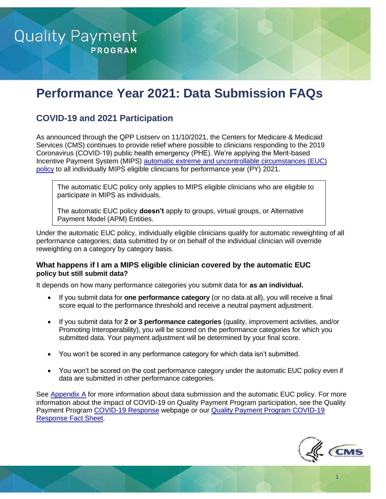

# **Performance Year 2021: Data Submission FAQs**

# **COVID-19 and 2021 Participation**

As announced through the QPP Listserv on 11/10/2021, the Centers for Medicare & Medicaid Services (CMS) continues to provide relief where possible to clinicians responding to the 2019 Coronavirus (COVID-19) public health emergency (PHE). We're applying the Merit-based Incentive Payment System (MIPS) [automatic extreme and uncontrollable circumstances \(EUC\)](https://qpp-cm-prod-content.s3.amazonaws.com/uploads/1437/2021%20MIPS%20Automatic%20EUC%20Fact%20Sheet.pdf) [policy](https://qpp-cm-prod-content.s3.amazonaws.com/uploads/1437/2021%20MIPS%20Automatic%20EUC%20Fact%20Sheet.pdf) to all individually MIPS eligible clinicians for performance year (PY) 2021.

The automatic EUC policy only applies to MIPS eligible clinicians who are eligible to participate in MIPS as individuals.

The automatic EUC policy **doesn't** apply to groups, virtual groups, or Alternative Payment Model (APM) Entities.

Under the automatic EUC policy, individually eligible clinicians qualify for automatic reweighting of all performance categories; data submitted by or on behalf of the individual clinician will override reweighting on a category by category basis.

#### **What happens if I am a MIPS eligible clinician covered by the automatic EUC policy but still submit data?**

It depends on how many performance categories you submit data for **as an individual.**

- If you submit data for **one performance category** (or no data at all), you will receive a final score equal to the performance threshold and receive a neutral payment adjustment.
- If you submit data for **2 or 3 performance categories** (quality, improvement activities, and/or Promoting Interoperability), you will be scored on the performance categories for which you submitted data. Your payment adjustment will be determined by your final score.
- You won't be scored in any performance category for which data isn't submitted.
- You won't be scored on the cost performance category under the automatic EUC policy even if data are submitted in other performance categories.

See [Appendix A](#page-19-0) for more information about data submission and the automatic EUC policy. For more information about the impact of COVID-19 on Quality Payment Program participation, see the Quality Payment Program [COVID-19 Response](https://qpp.cms.gov/about/covid19) webpage or our [Quality Payment Program COVID-19](https://qpp-cm-prod-content.s3.amazonaws.com/uploads/966/QPP%20COVID-19%20Response%20Fact%20Sheet.pdf)  [Response Fact Sheet.](https://qpp-cm-prod-content.s3.amazonaws.com/uploads/966/QPP%20COVID-19%20Response%20Fact%20Sheet.pdf)



1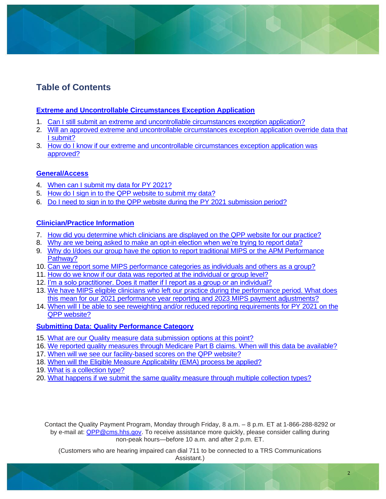# **Table of Contents**

#### **[Extreme and Uncontrollable Circumstances Exception Application](#page-3-0)**

- 1. [Can I still submit an extreme and uncontrollable circumstances exception application?](#page-3-1)
- 2. [Will an approved extreme and uncontrollable circumstances exception application override data that](#page-3-2)  I [submit?](#page-3-2)
- 3. [How do I know if our extreme and uncontrollable circumstances exception application was](#page-3-3)  [approved?](#page-3-3)

### **[General/Access](#page-4-0)**

- 4. [When can I submit my data for PY](#page-4-1) 2021?
- 5. [How do I sign in to the QPP website](#page-4-2) to submit my data?
- 6. Do I need to sign in to the QPP website [during the PY 2021 submission period?](#page-5-0)

### **[Clinician/Practice Information](#page-5-1)**

- 7. How did [you determine which clinicians are displayed on the QPP website](#page-5-2) for our practice?
- 8. [Why are we being asked to make an opt-in election when we're trying to report data?](#page-6-0)
- 9. Why do I/does our group have the option to report traditional MIPS or the APM Performance [Pathway?](#page-6-1)
- 10. [Can we report some MIPS performance categories as individuals and others as a group?](#page-7-0)
- 11. [How do we know if our data was reported at the individual or group level?](#page-7-1)
- 12. [I'm a solo practitioner. Does it matter if I report as a group or an individual?](#page-8-0)
- 13. [We have MIPS eligible clinicians who left our practice during the performance period. What does](#page-8-1)  this mean for our 2021 performance year reporting and 2023 [MIPS payment adjustments?](#page-8-1)
- 14. [When will I be able to see reweighting and/or reduced reporting requirements for PY 2021 on the](#page-9-0)  [QPP website?](#page-9-0)

#### **[Submitting Data: Quality Performance Category](#page-10-0)**

- 15. [What are our Quality measure data submission options at this point?](#page-11-0)
- 16. [We reported quality measures through Medicare Part B claims. When will this data be available?](#page-11-1)
- 17. When will we see [our facility-based scores](#page-11-2) on the QPP website?
- 18. [When will the Eligible Measure Applicability \(EMA\) process be applied?](#page-12-0)
- 19. [What is a collection type?](#page-13-0)
- 20. [What happens if we submit the same quality measure through multiple collection types?](#page-13-1)

Contact the Quality Payment Program, Monday through Friday, 8 a.m. – 8 p.m. ET at 1-866-288-8292 or by e-mail at: [QPP@cms.hhs.gov.](mailto:QPP@cms.hhs.gov) To receive assistance more quickly, please consider calling during non-peak hours—before 10 a.m. and after 2 p.m. ET.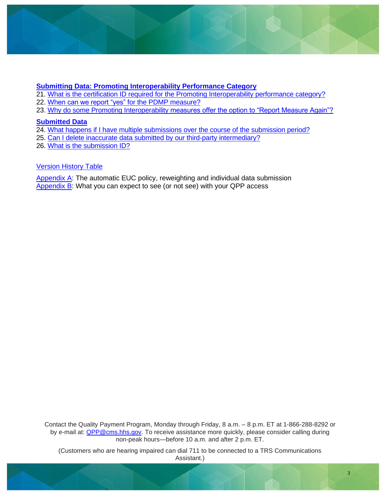

### **[Submitting Data: Promoting Interoperability Performance Category](#page-13-2)**

- 21. [What is the certification ID required](#page-14-0) for the Promoting Interoperability performance category?
- 22. [When can we report "yes"](#page-14-1) for the PDMP measure?
- 23. [Why do some Promoting Interoperability measures offer the option to "Report Measure Again"?](#page-15-0)

#### **[Submitted Data](#page-16-0)**

- 24. [What happens if I have multiple submissions](#page-16-1) over the course of the submission period?
- 25. [Can I delete inaccurate data submitted by our third-party intermediary?](#page-16-2)
- 26. [What is the submission ID?](#page-17-0)

#### [Version History Table](#page-18-0)

[Appendix A:](#page-19-0) The automatic EUC policy, reweighting and individual data submission [Appendix](#page-21-0) B: What you can expect to see (or not see) with your QPP access

Contact the Quality Payment Program, Monday through Friday, 8 a.m. – 8 p.m. ET at 1-866-288-8292 or by e-mail at: [QPP@cms.hhs.gov.](mailto:QPP@cms.hhs.gov) To receive assistance more quickly, please consider calling during non-peak hours—before 10 a.m. and after 2 p.m. ET.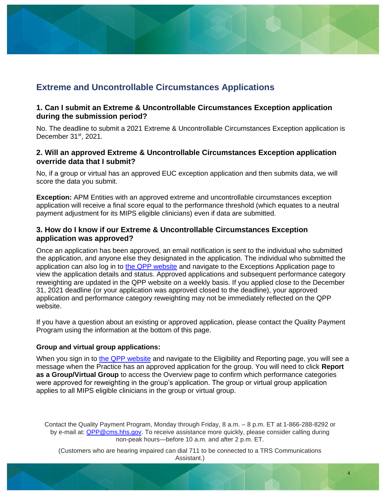# <span id="page-3-0"></span>**Extreme and Uncontrollable Circumstances Applications**

#### <span id="page-3-1"></span>**1. Can I submit an Extreme & Uncontrollable Circumstances Exception application during the submission period?**

No. The deadline to submit a 2021 Extreme & Uncontrollable Circumstances Exception application is December 31st, 2021.

#### <span id="page-3-2"></span>**2. Will an approved Extreme & Uncontrollable Circumstances Exception application override data that I submit?**

No, if a group or virtual has an approved EUC exception application and then submits data, we will score the data you submit.

**Exception:** APM Entities with an approved extreme and uncontrollable circumstances exception application will receive a final score equal to the performance threshold (which equates to a neutral payment adjustment for its MIPS eligible clinicians) even if data are submitted.

#### <span id="page-3-3"></span>**3. How do I know if our Extreme & Uncontrollable Circumstances Exception application was approved?**

Once an application has been approved, an email notification is sent to the individual who submitted the application, and anyone else they designated in the application. The individual who submitted the application can also log in to [the QPP website](https://qpp.cms.gov/login) and navigate to the Exceptions Application page to view the application details and status. Approved applications and subsequent performance category reweighting are updated in the QPP website on a weekly basis. If you applied close to the December 31, 2021 deadline (or your application was approved closed to the deadline), your approved application and performance category reweighting may not be immediately reflected on the QPP website.

If you have a question about an existing or approved application, please contact the Quality Payment Program using the information at the bottom of this page.

#### **Group and virtual group applications:**

When you sign in to [the QPP website](https://qpp.cms.gov/login) and navigate to the Eligibility and Reporting page, you will see a message when the Practice has an approved application for the group. You will need to click **Report as a Group/Virtual Group** to access the Overview page to confirm which performance categories were approved for reweighting in the group's application. The group or virtual group application applies to all MIPS eligible clinicians in the group or virtual group.

Contact the Quality Payment Program, Monday through Friday, 8 a.m. – 8 p.m. ET at 1-866-288-8292 or by e-mail at: [QPP@cms.hhs.gov.](mailto:QPP@cms.hhs.gov) To receive assistance more quickly, please consider calling during non-peak hours—before 10 a.m. and after 2 p.m. ET.

(Customers who are hearing impaired can dial 711 to be connected to a TRS Communications Assistant.)

4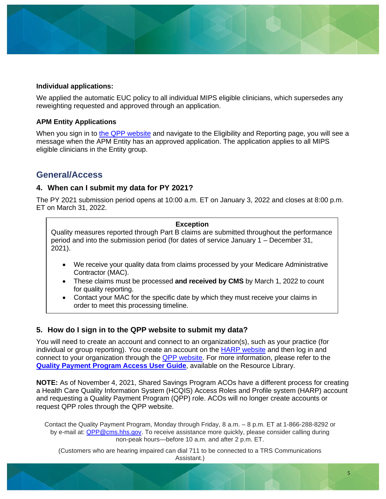#### **Individual applications:**

We applied the automatic EUC policy to all individual MIPS eligible clinicians, which supersedes any reweighting requested and approved through an application.

#### **APM Entity Applications**

When you sign in to [the QPP website](https://qpp.cms.gov/login) and navigate to the Eligibility and Reporting page, you will see a message when the APM Entity has an approved application. The application applies to all MIPS eligible clinicians in the Entity group.

## <span id="page-4-0"></span>**General/Access**

#### <span id="page-4-1"></span>**4. When can I submit my data for PY 2021?**

The PY 2021 submission period opens at 10:00 a.m. ET on January 3, 2022 and closes at 8:00 p.m. ET on March 31, 2022.

#### **Exception**

Quality measures reported through Part B claims are submitted throughout the performance period and into the submission period (for dates of service January 1 – December 31, 2021).

- We receive your quality data from claims processed by your Medicare Administrative Contractor (MAC).
- These claims must be processed **and received by CMS** by March 1, 2022 to count for quality reporting.
- Contact your MAC for the specific date by which they must receive your claims in order to meet this processing timeline.

#### <span id="page-4-2"></span>**5. How do I sign in to the QPP website to submit my data?**

You will need to create an account and connect to an organization(s), such as your practice (for individual or group reporting). You create an account on the [HARP website](https://harp.cms.gov/register/profile-info) and then log in and connect to your organization through the [QPP website.](https://qpp.cms.gov/login) For more information, please refer to the **[Quality Payment Program](https://qpp-cm-prod-content.s3.amazonaws.com/uploads/335/QPP%2BAccess%2BUser%2BGuide.zip) Access User Guide**, available on the Resource Library.

**NOTE:** As of November 4, 2021, Shared Savings Program ACOs have a different process for creating a Health Care Quality Information System (HCQIS) Access Roles and Profile system (HARP) account and requesting a Quality Payment Program (QPP) role. ACOs will no longer create accounts or request QPP roles through the QPP website.

Contact the Quality Payment Program, Monday through Friday, 8 a.m. – 8 p.m. ET at 1-866-288-8292 or by e-mail at: [QPP@cms.hhs.gov.](mailto:QPP@cms.hhs.gov) To receive assistance more quickly, please consider calling during non-peak hours—before 10 a.m. and after 2 p.m. ET.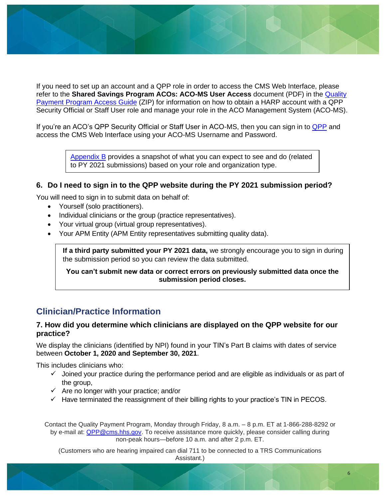If you need to set up an account and a QPP role in order to access the CMS Web Interface, please refer to the **Shared Savings Program ACOs: ACO-MS User Access** document (PDF) in the [Quality](https://qpp-cm-prod-content.s3.amazonaws.com/uploads/335/QPP%20Access%20User%20Guide.zip)  [Payment Program](https://qpp-cm-prod-content.s3.amazonaws.com/uploads/335/QPP%20Access%20User%20Guide.zip) Access Guide (ZIP) for information on how to obtain a HARP account with a QPP Security Official or Staff User role and manage your role in the ACO Management System (ACO-MS).

If you're an ACO's [QPP](https://qpp.cms.gov/login) Security Official or Staff User in ACO-MS, then you can sign in to QPP and access the CMS Web Interface using your ACO-MS Username and Password.

> [Appendix B](#page-21-0) provides a snapshot of what you can expect to see and do (related to PY 2021 submissions) based on your role and organization type.

#### <span id="page-5-0"></span>**6. Do I need to sign in to the QPP website during the PY 2021 submission period?**

You will need to sign in to submit data on behalf of:

- Yourself (solo practitioners).
- Individual clinicians or the group (practice representatives).
- Your virtual group (virtual group representatives).
- Your APM Entity (APM Entity representatives submitting quality data).

**If a third party submitted your PY 2021 data,** we strongly encourage you to sign in during the submission period so you can review the data submitted.

**You can't submit new data or correct errors on previously submitted data once the submission period closes.** 

# <span id="page-5-1"></span>**Clinician/Practice Information**

#### <span id="page-5-2"></span>**7. How did you determine which clinicians are displayed on the QPP website for our practice?**

We display the clinicians (identified by NPI) found in your TIN's Part B claims with dates of service between **October 1, 2020 and September 30, 2021**.

This includes clinicians who:

- $\checkmark$  Joined your practice during the performance period and are eligible as individuals or as part of the group,
- $\checkmark$  Are no longer with your practice; and/or
- $\checkmark$  Have terminated the reassignment of their billing rights to your practice's TIN in PECOS.

Contact the Quality Payment Program, Monday through Friday, 8 a.m. – 8 p.m. ET at 1-866-288-8292 or by e-mail at: [QPP@cms.hhs.gov.](mailto:QPP@cms.hhs.gov) To receive assistance more quickly, please consider calling during non-peak hours—before 10 a.m. and after 2 p.m. ET.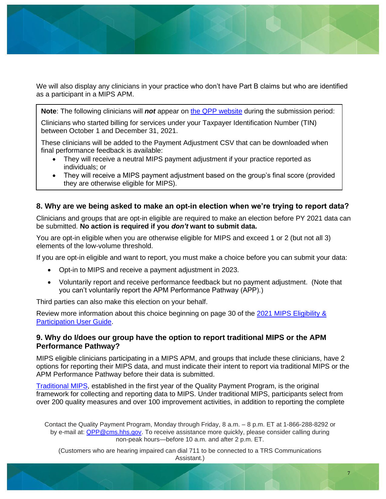We will also display any clinicians in your practice who don't have Part B claims but who are identified as a participant in a MIPS APM.

**Note**: The following clinicians will *not* appear on [the QPP website](https://qpp.cms.gov/) during the submission period:

Clinicians who started billing for services under your Taxpayer Identification Number (TIN) between October 1 and December 31, 2021.

These clinicians will be added to the Payment Adjustment CSV that can be downloaded when final performance feedback is available:

- They will receive a neutral MIPS payment adjustment if your practice reported as individuals; or
- They will receive a MIPS payment adjustment based on the group's final score (provided they are otherwise eligible for MIPS).

#### <span id="page-6-0"></span>**8. Why are we being asked to make an opt-in election when we're trying to report data?**

Clinicians and groups that are opt-in eligible are required to make an election before PY 2021 data can be submitted. **No action is required if you** *don't* **want to submit data.**

You are opt-in eligible when you are otherwise eligible for MIPS and exceed 1 or 2 (but not all 3) elements of the low-volume threshold.

If you are opt-in eligible and want to report, you must make a choice before you can submit your data:

- Opt-in to MIPS and receive a payment adjustment in 2023.
- Voluntarily report and receive performance feedback but no payment adjustment. (Note that you can't voluntarily report the APM Performance Pathway (APP).)

Third parties can also make this election on your behalf.

Review more information about this choice beginning on page 30 of the [2021 MIPS Eligibility &](https://qpp-cm-prod-content.s3.amazonaws.com/uploads/1422/2021%20MIPS%20Eligibility%20and%20Participation%20User%20Guide.pdf)  [Participation User Guide.](https://qpp-cm-prod-content.s3.amazonaws.com/uploads/1422/2021%20MIPS%20Eligibility%20and%20Participation%20User%20Guide.pdf)

#### <span id="page-6-1"></span>**9. Why do I/does our group have the option to report traditional MIPS or the APM Performance Pathway?**

MIPS eligible clinicians participating in a MIPS APM, and groups that include these clinicians, have 2 options for reporting their MIPS data, and must indicate their intent to report via traditional MIPS or the APM Performance Pathway before their data is submitted.

[Traditional MIPS,](https://qpp.cms.gov/mips/traditional-mips) established in the first year of the Quality Payment Program, is the original framework for collecting and reporting data to MIPS. Under traditional MIPS, participants select from over 200 quality measures and over 100 improvement activities, in addition to reporting the complete

Contact the Quality Payment Program, Monday through Friday, 8 a.m. – 8 p.m. ET at 1-866-288-8292 or by e-mail at: [QPP@cms.hhs.gov.](mailto:QPP@cms.hhs.gov) To receive assistance more quickly, please consider calling during non-peak hours—before 10 a.m. and after 2 p.m. ET.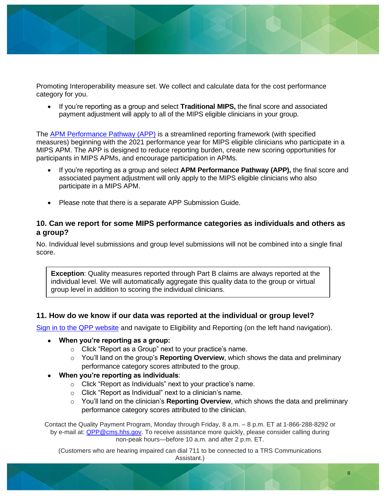

Promoting Interoperability measure set. We collect and calculate data for the cost performance category for you.

• If you're reporting as a group and select **Traditional MIPS**, the final score and associated payment adjustment will apply to all of the MIPS eligible clinicians in your group.

The [APM Performance Pathway \(APP\)](https://qpp.cms.gov/mips/apm-performance-pathway) is a streamlined reporting framework (with specified measures) beginning with the 2021 performance year for MIPS eligible clinicians who participate in a MIPS APM. The APP is designed to reduce reporting burden, create new scoring opportunities for participants in MIPS APMs, and encourage participation in APMs.

- If you're reporting as a group and select **APM Performance Pathway (APP)**, the final score and associated payment adjustment will only apply to the MIPS eligible clinicians who also participate in a MIPS APM.
- Please note that there is a separate APP Submission Guide.

#### <span id="page-7-0"></span>**10. Can we report for some MIPS performance categories as individuals and others as a group?**

No. Individual level submissions and group level submissions will not be combined into a single final score.

<span id="page-7-1"></span>**Exception**: Quality measures reported through Part B claims are always reported at the individual level. We will automatically aggregate this quality data to the group or virtual group level in addition to scoring the individual clinicians.

#### **11. How do we know if our data was reported at the individual or group level?**

[Sign in to the QPP website](https://qpp.cms.gov/login) and navigate to Eligibility and Reporting (on the left hand navigation).

- **When you're reporting as a group:**
	- o Click "Report as a Group" next to your practice's name.
	- o You'll land on the group's **Reporting Overview**, which shows the data and preliminary performance category scores attributed to the group.
- **When you're reporting as individuals**:
	- o Click "Report as Individuals" next to your practice's name.
	- o Click "Report as Individual" next to a clinician's name.
	- o You'll land on the clinician's **Reporting Overview**, which shows the data and preliminary performance category scores attributed to the clinician.

Contact the Quality Payment Program, Monday through Friday, 8 a.m. – 8 p.m. ET at 1-866-288-8292 or by e-mail at: [QPP@cms.hhs.gov.](mailto:QPP@cms.hhs.gov) To receive assistance more quickly, please consider calling during non-peak hours—before 10 a.m. and after 2 p.m. ET.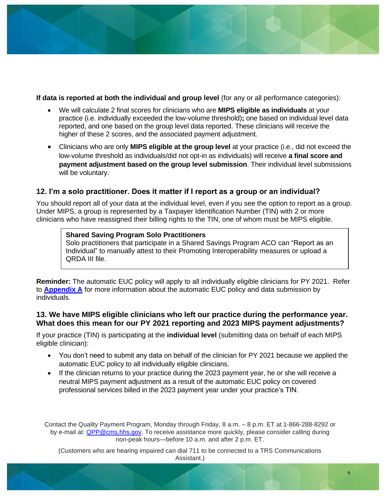

**If data is reported at both the individual and group level** (for any or all performance categories):

- We will calculate 2 final scores for clinicians who are **MIPS eligible as individuals** at your practice (i.e. individually exceeded the low-volume threshold)**;** one based on individual level data reported, and one based on the group level data reported. These clinicians will receive the higher of these 2 scores, and the associated payment adjustment.
- Clinicians who are only **MIPS eligible at the group level** at your practice (i.e., did not exceed the low-volume threshold as individuals/did not opt-in as individuals) will receive **a final score and payment adjustment based on the group level submission**. Their individual level submissions will be voluntary.

#### <span id="page-8-0"></span>**12. I'm a solo practitioner. Does it matter if I report as a group or an individual?**

You should report all of your data at the individual level, even if you see the option to report as a group. Under MIPS, a group is represented by a Taxpayer Identification Number (TIN) with 2 or more clinicians who have reassigned their billing rights to the TIN, one of whom must be MIPS eligible.

#### **Shared Saving Program Solo Practitioners**

Solo practitioners that participate in a Shared Savings Program ACO can "Report as an Individual" to manually attest to their Promoting Interoperability measures or upload a QRDA III file.

**Reminder:** The automatic EUC policy will apply to all individually eligible clinicians for PY 2021. Refer to **[Appendix A](#page-19-1)** for more information about the automatic EUC policy and data submission by individuals.

#### <span id="page-8-1"></span>**13. We have MIPS eligible clinicians who left our practice during the performance year. What does this mean for our PY 2021 reporting and 2023 MIPS payment adjustments?**

If your practice (TIN) is participating at the **individual level** (submitting data on behalf of each MIPS eligible clinician):

- You don't need to submit any data on behalf of the clinician for PY 2021 because we applied the automatic EUC policy to all individually eligible clinicians.
- If the clinician returns to your practice during the 2023 payment year, he or she will receive a neutral MIPS payment adjustment as a result of the automatic EUC policy on covered professional services billed in the 2023 payment year under your practice's TIN.

Contact the Quality Payment Program, Monday through Friday, 8 a.m. – 8 p.m. ET at 1-866-288-8292 or by e-mail at: [QPP@cms.hhs.gov.](mailto:QPP@cms.hhs.gov) To receive assistance more quickly, please consider calling during non-peak hours—before 10 a.m. and after 2 p.m. ET.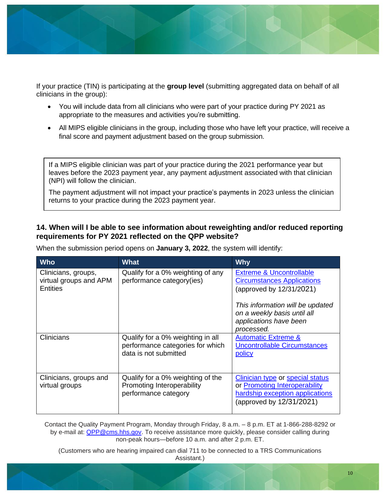

If your practice (TIN) is participating at the **group level** (submitting aggregated data on behalf of all clinicians in the group):

- You will include data from all clinicians who were part of your practice during PY 2021 as appropriate to the measures and activities you're submitting.
- All MIPS eligible clinicians in the group, including those who have left your practice, will receive a final score and payment adjustment based on the group submission.

If a MIPS eligible clinician was part of your practice during the 2021 performance year but leaves before the 2023 payment year, any payment adjustment associated with that clinician (NPI) will follow the clinician.

The payment adjustment will not impact your practice's payments in 2023 unless the clinician returns to your practice during the 2023 payment year.

### <span id="page-9-0"></span>**14. When will I be able to see information about reweighting and/or reduced reporting requirements for PY 2021 reflected on the QPP website?**

| <b>Who</b>                                                       | <b>What</b>                                                                                    | <b>Why</b>                                                                                                                                                                                                      |
|------------------------------------------------------------------|------------------------------------------------------------------------------------------------|-----------------------------------------------------------------------------------------------------------------------------------------------------------------------------------------------------------------|
| Clinicians, groups,<br>virtual groups and APM<br><b>Entities</b> | Qualify for a 0% weighting of any<br>performance category(ies)                                 | <b>Extreme &amp; Uncontrollable</b><br><b>Circumstances Applications</b><br>(approved by 12/31/2021)<br>This information will be updated<br>on a weekly basis until all<br>applications have been<br>processed. |
| <b>Clinicians</b>                                                | Qualify for a 0% weighting in all<br>performance categories for which<br>data is not submitted | <b>Automatic Extreme &amp;</b><br><b>Uncontrollable Circumstances</b><br>policy                                                                                                                                 |
| Clinicians, groups and<br>virtual groups                         | Qualify for a 0% weighting of the<br>Promoting Interoperability<br>performance category        | <b>Clinician type or special status</b><br>or Promoting Interoperability<br>hardship exception applications<br>(approved by 12/31/2021)                                                                         |

When the submission period opens on **January 3, 2022**, the system will identify:

Contact the Quality Payment Program, Monday through Friday, 8 a.m. – 8 p.m. ET at 1-866-288-8292 or by e-mail at: [QPP@cms.hhs.gov.](mailto:QPP@cms.hhs.gov) To receive assistance more quickly, please consider calling during non-peak hours—before 10 a.m. and after 2 p.m. ET.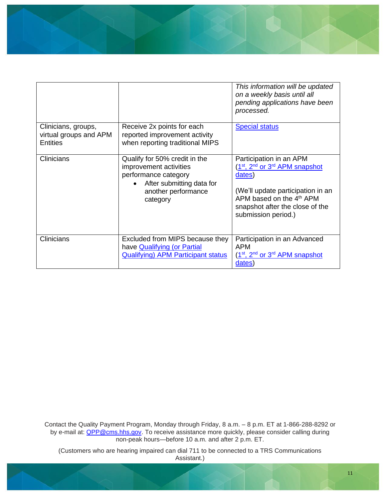

|                                                                  |                                                                                                                                                 | This information will be updated<br>on a weekly basis until all<br>pending applications have been<br>processed.                                                                                                                   |
|------------------------------------------------------------------|-------------------------------------------------------------------------------------------------------------------------------------------------|-----------------------------------------------------------------------------------------------------------------------------------------------------------------------------------------------------------------------------------|
| Clinicians, groups,<br>virtual groups and APM<br><b>Entities</b> | Receive 2x points for each<br>reported improvement activity<br>when reporting traditional MIPS                                                  | <b>Special status</b>                                                                                                                                                                                                             |
| <b>Clinicians</b>                                                | Qualify for 50% credit in the<br>improvement activities<br>performance category<br>After submitting data for<br>another performance<br>category | Participation in an APM<br>(1st, 2 <sup>nd</sup> or 3 <sup>rd</sup> APM snapshot<br>dates)<br>(We'll update participation in an<br>APM based on the 4 <sup>th</sup> APM<br>snapshot after the close of the<br>submission period.) |
| <b>Clinicians</b>                                                | Excluded from MIPS because they<br>have <b>Qualifying</b> (or Partial<br><b>Qualifying) APM Participant status</b>                              | Participation in an Advanced<br><b>APM</b><br>(1st, 2 <sup>nd</sup> or 3 <sup>rd</sup> APM snapshot<br>dates)                                                                                                                     |

<span id="page-10-0"></span>Contact the Quality Payment Program, Monday through Friday, 8 a.m. – 8 p.m. ET at 1-866-288-8292 or by e-mail at: **QPP@cms.hhs.gov**. To receive assistance more quickly, please consider calling during non-peak hours—before 10 a.m. and after 2 p.m. ET.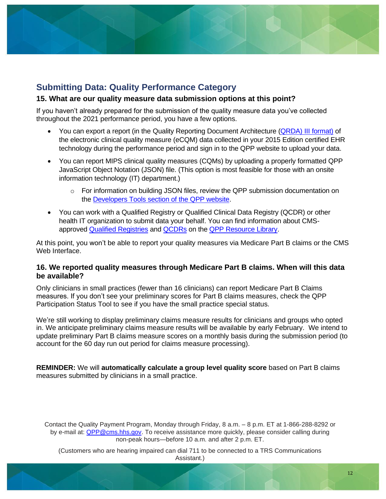

## **Submitting Data: Quality Performance Category**

#### <span id="page-11-0"></span>**15. What are our quality measure data submission options at this point?**

If you haven't already prepared for the submission of the quality measure data you've collected throughout the 2021 performance period, you have a few options.

- You can export a report (in the Quality Reporting Document Architecture (QRDA) [III format\)](https://ecqi.healthit.gov/sites/default/files/2021-CMS-QRDA-III-Eligible-Clinicians-and-EP-IG-v1.3.pdf) of the electronic clinical quality measure (eCQM) data collected in your 2015 Edition certified EHR technology during the performance period and sign in to the QPP website to upload your data.
- You can report MIPS clinical quality measures (CQMs) by uploading a properly formatted QPP JavaScript Object Notation (JSON) file. (This option is most feasible for those with an onsite information technology (IT) department.)
	- $\circ$  For information on building JSON files, review the QPP submission documentation on the [Developers Tools section of the QPP website.](https://cmsgov.github.io/qpp-submissions-docs/)
- You can work with a Qualified Registry or Qualified Clinical Data Registry (QCDR) or other health IT organization to submit data your behalf. You can find information about CMSapproved [Qualified Registries](https://qpp-cm-prod-content.s3.amazonaws.com/uploads/803/2020%20Qualified%20Registry%20Qualified%20Posting.xlsx) and [QCDRs](https://qpp-cm-prod-content.s3.amazonaws.com/uploads/1050/2020%20QCDR%20Qualified%20Posting.xlsx) on the [QPP Resource Library.](https://qpp.cms.gov/about/resource-library)

At this point, you won't be able to report your quality measures via Medicare Part B claims or the CMS Web Interface.

#### <span id="page-11-1"></span>**16. We reported quality measures through Medicare Part B claims. When will this data be available?**

Only clinicians in small practices (fewer than 16 clinicians) can report Medicare Part B Claims measures. If you don't see your preliminary scores for Part B claims measures, check the QPP Participation Status Tool to see if you have the small practice special status.

We're still working to display preliminary claims measure results for clinicians and groups who opted in. We anticipate preliminary claims measure results will be available by early February. We intend to update preliminary Part B claims measure scores on a monthly basis during the submission period (to account for the 60 day run out period for claims measure processing).

**REMINDER:** We will **automatically calculate a group level quality score** based on Part B claims measures submitted by clinicians in a small practice.

<span id="page-11-2"></span>Contact the Quality Payment Program, Monday through Friday, 8 a.m. – 8 p.m. ET at 1-866-288-8292 or by e-mail at: [QPP@cms.hhs.gov.](mailto:QPP@cms.hhs.gov) To receive assistance more quickly, please consider calling during non-peak hours—before 10 a.m. and after 2 p.m. ET.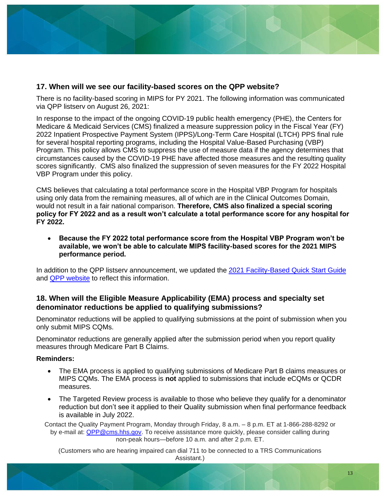#### **17. When will we see our facility-based scores on the QPP website?**

There is no facility-based scoring in MIPS for PY 2021. The following information was communicated via QPP listserv on August 26, 2021:

In response to the impact of the ongoing COVID-19 public health emergency (PHE), the Centers for Medicare & Medicaid Services (CMS) finalized a measure suppression policy in the Fiscal Year (FY) 2022 Inpatient Prospective Payment System (IPPS)/Long-Term Care Hospital (LTCH) PPS final rule for several hospital reporting programs, including the Hospital Value-Based Purchasing (VBP) Program. This policy allows CMS to suppress the use of measure data if the agency determines that circumstances caused by the COVID-19 PHE have affected those measures and the resulting quality scores significantly. CMS also finalized the suppression of seven measures for the FY 2022 Hospital VBP Program under this policy.

CMS believes that calculating a total performance score in the Hospital VBP Program for hospitals using only data from the remaining measures, all of which are in the Clinical Outcomes Domain, would not result in a fair national comparison. **Therefore, CMS also finalized a special scoring policy for FY 2022 and as a result won't calculate a total performance score for any hospital for FY 2022.**

• **Because the FY 2022 total performance score from the Hospital VBP Program won't be available, we won't be able to calculate MIPS facility-based scores for the 2021 MIPS performance period.** 

In addition to the QPP listserv announcement, we updated the [2021 Facility-Based Quick Start Guide](https://qpp-cm-prod-content.s3.amazonaws.com/uploads/1293/2021%20MIPS%20Facility%20Based%20Quick%20Start%20Guide.pdf) and [QPP website](https://qpp.cms.gov/mips/reporting-factors-overview#facility-based-determinations) to reflect this information.

#### <span id="page-12-0"></span>**18. When will the Eligible Measure Applicability (EMA) process and specialty set denominator reductions be applied to qualifying submissions?**

Denominator reductions will be applied to qualifying submissions at the point of submission when you only submit MIPS CQMs.

Denominator reductions are generally applied after the submission period when you report quality measures through Medicare Part B Claims.

#### **Reminders:**

- The EMA process is applied to qualifying submissions of Medicare Part B claims measures or MIPS CQMs. The EMA process is **not** applied to submissions that include eCQMs or QCDR measures.
- The Targeted Review process is available to those who believe they qualify for a denominator reduction but don't see it applied to their Quality submission when final performance feedback is available in July 2022.

Contact the Quality Payment Program, Monday through Friday, 8 a.m. – 8 p.m. ET at 1-866-288-8292 or by e-mail at: [QPP@cms.hhs.gov.](mailto:QPP@cms.hhs.gov) To receive assistance more quickly, please consider calling during non-peak hours—before 10 a.m. and after 2 p.m. ET.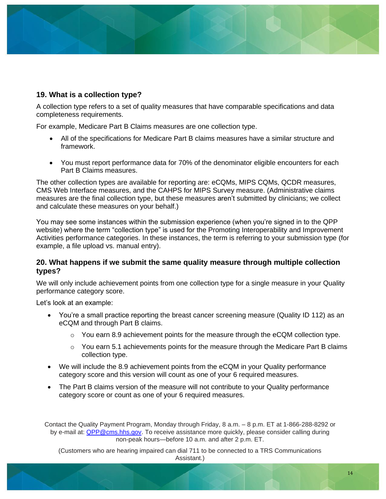### <span id="page-13-0"></span>**19. What is a collection type?**

A collection type refers to a set of quality measures that have comparable specifications and data completeness requirements.

For example, Medicare Part B Claims measures are one collection type.

- All of the specifications for Medicare Part B claims measures have a similar structure and framework.
- You must report performance data for 70% of the denominator eligible encounters for each Part B Claims measures.

The other collection types are available for reporting are: eCQMs, MIPS CQMs, QCDR measures, CMS Web Interface measures, and the CAHPS for MIPS Survey measure. (Administrative claims measures are the final collection type, but these measures aren't submitted by clinicians; we collect and calculate these measures on your behalf.)

You may see some instances within the submission experience (when you're signed in to the QPP website) where the term "collection type" is used for the Promoting Interoperability and Improvement Activities performance categories. In these instances, the term is referring to your submission type (for example, a file upload vs. manual entry).

#### <span id="page-13-1"></span>**20. What happens if we submit the same quality measure through multiple collection types?**

We will only include achievement points from one collection type for a single measure in your Quality performance category score.

Let's look at an example:

- You're a small practice reporting the breast cancer screening measure (Quality ID 112) as an eCQM and through Part B claims.
	- $\circ$  You earn 8.9 achievement points for the measure through the eCQM collection type.
	- $\circ$  You earn 5.1 achievements points for the measure through the Medicare Part B claims collection type.
- We will include the 8.9 achievement points from the eCQM in your Quality performance category score and this version will count as one of your 6 required measures.
- The Part B claims version of the measure will not contribute to your Quality performance category score or count as one of your 6 required measures.

<span id="page-13-2"></span>Contact the Quality Payment Program, Monday through Friday, 8 a.m. – 8 p.m. ET at 1-866-288-8292 or by e-mail at: [QPP@cms.hhs.gov.](mailto:QPP@cms.hhs.gov) To receive assistance more quickly, please consider calling during non-peak hours—before 10 a.m. and after 2 p.m. ET.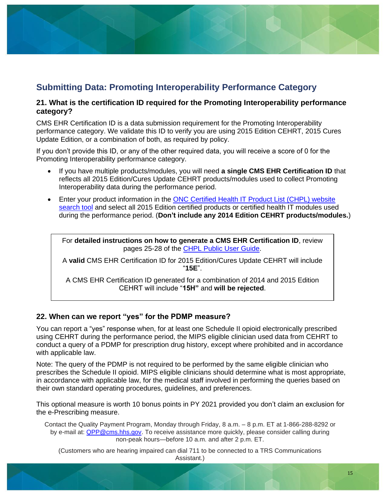# **Submitting Data: Promoting Interoperability Performance Category**

#### <span id="page-14-0"></span>**21. What is the certification ID required for the Promoting Interoperability performance category?**

CMS EHR Certification ID is a data submission requirement for the Promoting Interoperability performance category. We validate this ID to verify you are using 2015 Edition CEHRT, 2015 Cures Update Edition, or a combination of both, as required by policy.

If you don't provide this ID, or any of the other required data, you will receive a score of 0 for the Promoting Interoperability performance category.

- If you have multiple products/modules, you will need **a single CMS EHR Certification ID** that reflects all 2015 Edition/Cures Update CEHRT products/modules used to collect Promoting Interoperability data during the performance period.
- Enter your product information in the ONC Certified Health IT Product List (CHPL) website [search tool](https://chpl.healthit.gov/#/search) and select all 2015 Edition certified products or certified health IT modules used during the performance period. (**Don't include any 2014 Edition CEHRT products/modules.**)

For **detailed instructions on how to generate a CMS EHR Certification ID**, review pages 25-28 of the [CHPL Public User Guide.](https://www.healthit.gov/sites/default/files/policy/chpl_public_user_guide.pdf)

A **valid** CMS EHR Certification ID for 2015 Edition/Cures Update CEHRT will include "**15E**".

A CMS EHR Certification ID generated for a combination of 2014 and 2015 Edition CEHRT will include "**15H"** and **will be rejected**.

#### <span id="page-14-1"></span>**22. When can we report "yes" for the PDMP measure?**

You can report a "yes" response when, for at least one Schedule II opioid electronically prescribed using CEHRT during the performance period, the MIPS eligible clinician used data from CEHRT to conduct a query of a PDMP for prescription drug history, except where prohibited and in accordance with applicable law.

Note: The query of the PDMP is not required to be performed by the same eligible clinician who prescribes the Schedule II opioid. MIPS eligible clinicians should determine what is most appropriate, in accordance with applicable law, for the medical staff involved in performing the queries based on their own standard operating procedures, guidelines, and preferences.

This optional measure is worth 10 bonus points in PY 2021 provided you don't claim an exclusion for the e-Prescribing measure.

Contact the Quality Payment Program, Monday through Friday, 8 a.m. – 8 p.m. ET at 1-866-288-8292 or by e-mail at: [QPP@cms.hhs.gov.](mailto:QPP@cms.hhs.gov) To receive assistance more quickly, please consider calling during non-peak hours—before 10 a.m. and after 2 p.m. ET.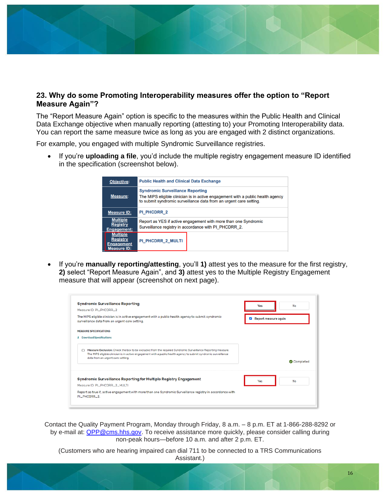# <span id="page-15-0"></span>**23. Why do some Promoting Interoperability measures offer the option to "Report Measure Again"?**

The "Report Measure Again" option is specific to the measures within the Public Health and Clinical Data Exchange objective when manually reporting (attesting to) your Promoting Interoperability data. You can report the same measure twice as long as you are engaged with 2 distinct organizations.

For example, you engaged with multiple Syndromic Surveillance registries.

• If you're **uploading a file**, you'd include the multiple registry engagement measure ID identified in the specification (screenshot below).



• If you're **manually reporting/attesting**, you'll **1)** attest yes to the measure for the first registry, **2)** select "Report Measure Again", and **3)** attest yes to the Multiple Registry Engagement measure that will appear (screenshot on next page).

| <b>Syndromic Surveillance Reporting</b>                                                                                                                                                                                                                                    | No<br>Yes            |
|----------------------------------------------------------------------------------------------------------------------------------------------------------------------------------------------------------------------------------------------------------------------------|----------------------|
| Measure ID: PI PHCDRR 2                                                                                                                                                                                                                                                    |                      |
| The MIPS eligible clinician is in active engagement with a public health agency to submit syndromic<br>surveillance data from an urgent care setting.                                                                                                                      | Report measure again |
| <b>MEASURE SPECIFICATIONS</b>                                                                                                                                                                                                                                              |                      |
| L Download Specifications                                                                                                                                                                                                                                                  |                      |
| Measure Exclusion: Check the box to be excluded from the required Syndromic Surveillance Reporting measure.<br>Ω.<br>The MIPS eligible clinician is in active engagement with a public health agency to submit syndromic surveillance<br>data from an urgent care setting. | Completed            |
| Syndromic Surveillance Reporting for Multiple Registry Engagement                                                                                                                                                                                                          | <b>No</b><br>Yes     |
| Measure ID: PI_PHCDRR_2_MULTI                                                                                                                                                                                                                                              |                      |
| Report as true if, active engagement with more than one Syndromic Surveillance registry in accordance with<br>PL PHCDRR 2                                                                                                                                                  |                      |

Contact the Quality Payment Program, Monday through Friday, 8 a.m. – 8 p.m. ET at 1-866-288-8292 or by e-mail at: [QPP@cms.hhs.gov.](mailto:QPP@cms.hhs.gov) To receive assistance more quickly, please consider calling during non-peak hours—before 10 a.m. and after 2 p.m. ET.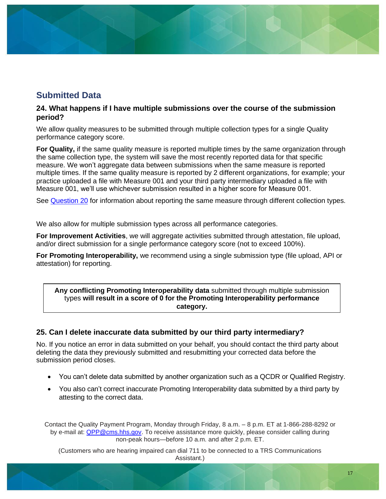# <span id="page-16-0"></span>**Submitted Data**

#### <span id="page-16-1"></span>**24. What happens if I have multiple submissions over the course of the submission period?**

We allow quality measures to be submitted through multiple collection types for a single Quality performance category score.

**For Quality,** if the same quality measure is reported multiple times by the same organization through the same collection type, the system will save the most recently reported data for that specific measure. We won't aggregate data between submissions when the same measure is reported multiple times. If the same quality measure is reported by 2 different organizations, for example; your practice uploaded a file with Measure 001 and your third party intermediary uploaded a file with Measure 001, we'll use whichever submission resulted in a higher score for Measure 001.

See [Question 20](#page-13-1) for information about reporting the same measure through different collection types.

We also allow for multiple submission types across all performance categories.

**For Improvement Activities**, we will aggregate activities submitted through attestation, file upload, and/or direct submission for a single performance category score (not to exceed 100%).

**For Promoting Interoperability,** we recommend using a single submission type (file upload, API or attestation) for reporting.

#### **Any conflicting Promoting Interoperability data** submitted through multiple submission types **will result in a score of 0 for the Promoting Interoperability performance category.**

#### <span id="page-16-2"></span>**25. Can I delete inaccurate data submitted by our third party intermediary?**

No. If you notice an error in data submitted on your behalf, you should contact the third party about deleting the data they previously submitted and resubmitting your corrected data before the submission period closes.

- You can't delete data submitted by another organization such as a QCDR or Qualified Registry.
- You also can't correct inaccurate Promoting Interoperability data submitted by a third party by attesting to the correct data.

Contact the Quality Payment Program, Monday through Friday, 8 a.m. – 8 p.m. ET at 1-866-288-8292 or by e-mail at: [QPP@cms.hhs.gov.](mailto:QPP@cms.hhs.gov) To receive assistance more quickly, please consider calling during non-peak hours—before 10 a.m. and after 2 p.m. ET.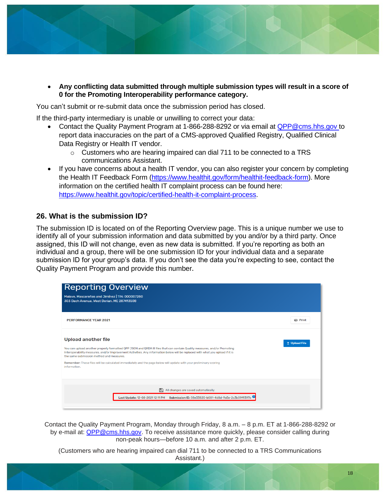- - **Any conflicting data submitted through multiple submission types will result in a score of 0 for the Promoting Interoperability performance category.**

You can't submit or re-submit data once the submission period has closed.

If the third-party intermediary is unable or unwilling to correct your data:

- Contact the Quality Payment Program at 1-866-288-8292 or via email at [QPP@cms.hhs.gov](mailto:QPP@cms.hhs.gov) to report data inaccuracies on the part of a CMS-approved Qualified Registry, Qualified Clinical Data Registry or Health IT vendor.
	- o Customers who are hearing impaired can dial 711 to be connected to a TRS communications Assistant.
- If you have concerns about a health IT vendor, you can also register your concern by completing the Health IT Feedback Form [\(https://www.healthit.gov/form/healthit-feedback-form\)](https://www.healthit.gov/form/healthit-feedback-form). More information on the certified health IT complaint process can be found here: [https://www.healthit.gov/topic/certified-health-it-complaint-process.](https://www.healthit.gov/topic/certified-health-it-complaint-process)

### <span id="page-17-0"></span>**26. What is the submission ID?**

The submission ID is located on of the Reporting Overview page. This is a unique number we use to identify all of your submission information and data submitted by you and/or by a third party. Once assigned, this ID will not change, even as new data is submitted. If you're reporting as both an individual and a group, there will be one submission ID for your individual data and a separate submission ID for your group's data. If you don't see the data you're expecting to see, contact the Quality Payment Program and provide this number.

| <b>Reporting Overview</b>                                                                                                                                                                                                                                                                                                                                                                                                                                                  |                          |
|----------------------------------------------------------------------------------------------------------------------------------------------------------------------------------------------------------------------------------------------------------------------------------------------------------------------------------------------------------------------------------------------------------------------------------------------------------------------------|--------------------------|
| Malave, Mascareñas and Jimínez   TIN: 000007280<br>303 Dach Avenue, West Dorian, ME 287413508                                                                                                                                                                                                                                                                                                                                                                              |                          |
| PERFORMANCE YEAR 2021                                                                                                                                                                                                                                                                                                                                                                                                                                                      | e Print                  |
| <b>Upload another file</b><br>You can upload another properly formatted QPP JSON and QRDA III files that can contain Quality measures, and/or Promoting<br>Interoperability measures, and/or Improvement Activities. Any information below will be replaced with what you upload if it is<br>the same submission method and measures.<br>Remember: These files will be calculated immediately and the page below will update with your preliminary scoring<br>information. | <sup>1</sup> Upload File |
| 冎<br>All changes are saved automatically.<br>Last Update: 12-08-2021 12:11 PM Submission ID: 08e33820-b081-4d8d-9a5e-2c3b09f9397b                                                                                                                                                                                                                                                                                                                                          |                          |

Contact the Quality Payment Program, Monday through Friday, 8 a.m. – 8 p.m. ET at 1-866-288-8292 or by e-mail at: [QPP@cms.hhs.gov.](mailto:QPP@cms.hhs.gov) To receive assistance more quickly, please consider calling during non-peak hours—before 10 a.m. and after 2 p.m. ET.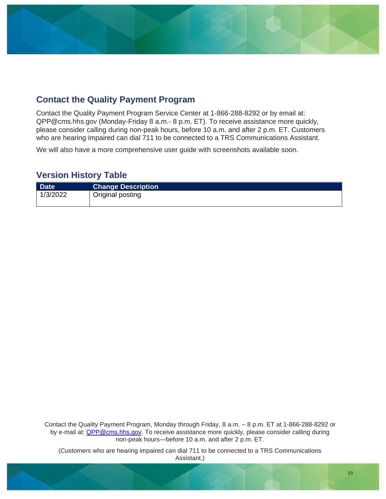# <span id="page-18-0"></span>**Contact the Quality Payment Program**

Contact the Quality Payment Program Service Center at 1-866-288-8292 or by email at: QPP@cms.hhs.gov (Monday-Friday 8 a.m.- 8 p.m. ET). To receive assistance more quickly, please consider calling during non-peak hours, before 10 a.m. and after 2 p.m. ET. Customers who are hearing impaired can dial 711 to be connected to a TRS Communications Assistant.

We will also have a more comprehensive user guide with screenshots available soon.

### **Version History Table**

| <b>Date</b> | <b>Change Description</b> |
|-------------|---------------------------|
| 1/3/2022    | Original posting          |

Contact the Quality Payment Program, Monday through Friday, 8 a.m. – 8 p.m. ET at 1-866-288-8292 or by e-mail at: [QPP@cms.hhs.gov.](mailto:QPP@cms.hhs.gov) To receive assistance more quickly, please consider calling during non-peak hours—before 10 a.m. and after 2 p.m. ET.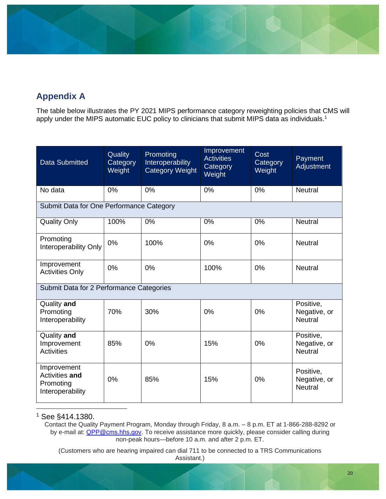# <span id="page-19-1"></span><span id="page-19-0"></span>**Appendix A**

The table below illustrates the PY 2021 MIPS performance category reweighting policies that CMS will apply under the MIPS automatic EUC policy to clinicians that submit MIPS data as individuals.<sup>1</sup>

| <b>Data Submitted</b>                                          | Quality<br>Category<br>Weight | Promoting<br>Interoperability<br><b>Category Weight</b> | Improvement<br><b>Activities</b><br>Category<br>Weight | Cost<br>Category<br>Weight | Payment<br>Adjustment                       |
|----------------------------------------------------------------|-------------------------------|---------------------------------------------------------|--------------------------------------------------------|----------------------------|---------------------------------------------|
| No data                                                        | 0%                            | 0%                                                      | 0%                                                     | 0%                         | <b>Neutral</b>                              |
| Submit Data for One Performance Category                       |                               |                                                         |                                                        |                            |                                             |
| <b>Quality Only</b>                                            | 100%                          | 0%                                                      | 0%                                                     | 0%                         | <b>Neutral</b>                              |
| Promoting<br>Interoperability Only                             | 0%                            | 100%                                                    | 0%                                                     | 0%                         | <b>Neutral</b>                              |
| Improvement<br><b>Activities Only</b>                          | 0%                            | 0%                                                      | 100%                                                   | 0%                         | <b>Neutral</b>                              |
| Submit Data for 2 Performance Categories                       |                               |                                                         |                                                        |                            |                                             |
| Quality and<br>Promoting<br>Interoperability                   | 70%                           | 30%                                                     | 0%                                                     | 0%                         | Positive,<br>Negative, or<br><b>Neutral</b> |
| Quality and<br>Improvement<br><b>Activities</b>                | 85%                           | 0%                                                      | 15%                                                    | 0%                         | Positive,<br>Negative, or<br><b>Neutral</b> |
| Improvement<br>Activities and<br>Promoting<br>Interoperability | 0%                            | 85%                                                     | 15%                                                    | 0%                         | Positive,<br>Negative, or<br><b>Neutral</b> |

<sup>1</sup> See §414.1380.

Contact the Quality Payment Program, Monday through Friday, 8 a.m. – 8 p.m. ET at 1-866-288-8292 or by e-mail at: **QPP@cms.hhs.gov.** To receive assistance more quickly, please consider calling during non-peak hours—before 10 a.m. and after 2 p.m. ET.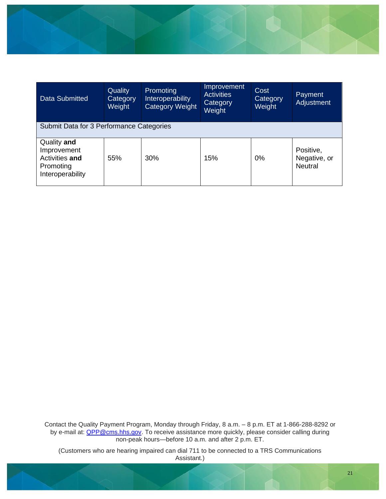

| <b>Data Submitted</b>                                                         | Quality<br>Category<br>Weight | <b>Promoting</b><br>Interoperability<br>Category Weight | Improvement<br><b>Activities</b><br>Category<br>Weight | Cost<br>Category<br>Weight | Payment<br>Adjustment                       |
|-------------------------------------------------------------------------------|-------------------------------|---------------------------------------------------------|--------------------------------------------------------|----------------------------|---------------------------------------------|
| Submit Data for 3 Performance Categories                                      |                               |                                                         |                                                        |                            |                                             |
| Quality and<br>Improvement<br>Activities and<br>Promoting<br>Interoperability | 55%                           | 30%                                                     | 15%                                                    | 0%                         | Positive,<br>Negative, or<br><b>Neutral</b> |

Contact the Quality Payment Program, Monday through Friday, 8 a.m. – 8 p.m. ET at 1-866-288-8292 or by e-mail at: **QPP@cms.hhs.gov**. To receive assistance more quickly, please consider calling during non-peak hours—before 10 a.m. and after 2 p.m. ET.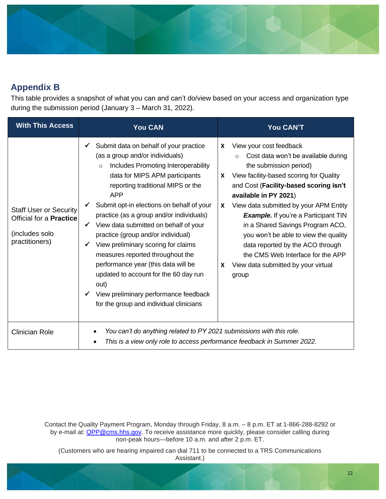

# <span id="page-21-0"></span>**Appendix B**

This table provides a snapshot of what you can and can't do/view based on your access and organization type during the submission period (January 3 – March 31, 2022).

| <b>With This Access</b>                                                                      | You CAN                                                                                                                                                                                                                                                                                                                                                                                                                                                                                                                                                                                                                                                         | You CAN'T                                                                                                                                                                                                                                                                                                                                                                                                                                                                                                                             |
|----------------------------------------------------------------------------------------------|-----------------------------------------------------------------------------------------------------------------------------------------------------------------------------------------------------------------------------------------------------------------------------------------------------------------------------------------------------------------------------------------------------------------------------------------------------------------------------------------------------------------------------------------------------------------------------------------------------------------------------------------------------------------|---------------------------------------------------------------------------------------------------------------------------------------------------------------------------------------------------------------------------------------------------------------------------------------------------------------------------------------------------------------------------------------------------------------------------------------------------------------------------------------------------------------------------------------|
| <b>Staff User or Security</b><br>Official for a Practice<br>(includes solo<br>practitioners) | Submit data on behalf of your practice<br>(as a group and/or individuals)<br>Includes Promoting Interoperability<br>$\circ$<br>data for MIPS APM participants<br>reporting traditional MIPS or the<br><b>APP</b><br>Submit opt-in elections on behalf of your<br>practice (as a group and/or individuals)<br>View data submitted on behalf of your<br>$\checkmark$<br>practice (group and/or individual)<br>View preliminary scoring for claims<br>measures reported throughout the<br>performance year (this data will be<br>updated to account for the 60 day run<br>out)<br>View preliminary performance feedback<br>for the group and individual clinicians | View your cost feedback<br>X<br>Cost data won't be available during<br>$\Omega$<br>the submission period)<br>View facility-based scoring for Quality<br>X<br>and Cost (Facility-based scoring isn't<br>available in PY 2021)<br>View data submitted by your APM Entity<br>X<br><b>Example.</b> If you're a Participant TIN<br>in a Shared Savings Program ACO,<br>you won't be able to view the quality<br>data reported by the ACO through<br>the CMS Web Interface for the APP<br>View data submitted by your virtual<br>X<br>group |
| <b>Clinician Role</b>                                                                        | You can't do anything related to PY 2021 submissions with this role.<br>This is a view only role to access performance feedback in Summer 2022.                                                                                                                                                                                                                                                                                                                                                                                                                                                                                                                 |                                                                                                                                                                                                                                                                                                                                                                                                                                                                                                                                       |

Contact the Quality Payment Program, Monday through Friday, 8 a.m. – 8 p.m. ET at 1-866-288-8292 or by e-mail at: **QPP@cms.hhs.gov.** To receive assistance more quickly, please consider calling during non-peak hours—before 10 a.m. and after 2 p.m. ET.